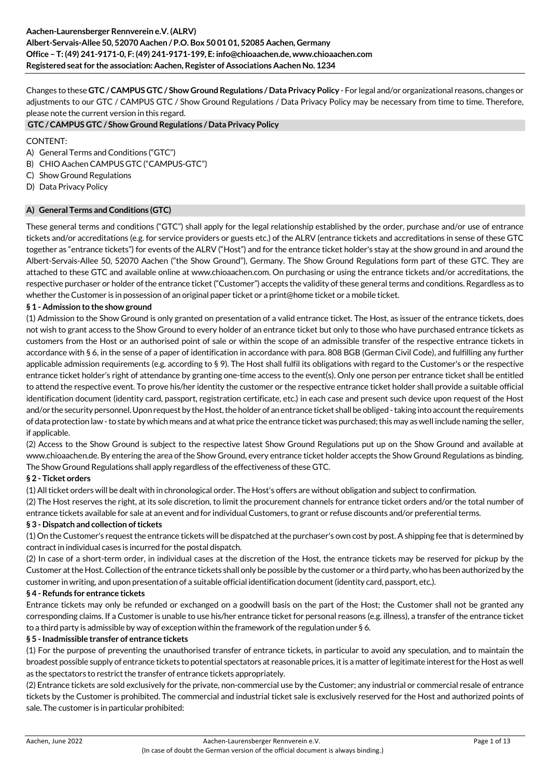Changes to these **GTC / CAMPUS GTC / Show Ground Regulations / Data Privacy Policy** - For legal and/or organizational reasons, changes or adjustments to our GTC / CAMPUS GTC / Show Ground Regulations / Data Privacy Policy may be necessary from time to time. Therefore, please note the current version in this regard.

### **GTC / CAMPUS GTC / Show Ground Regulations / Data Privacy Policy**

### CONTENT:

- A) General Terms and Conditions ("GTC")
- B) CHIO Aachen CAMPUS GTC ("CAMPUS-GTC")
- C) Show Ground Regulations
- D) Data Privacy Policy

## **A) General Terms and Conditions (GTC)**

These general terms and conditions ("GTC") shall apply for the legal relationship established by the order, purchase and/or use of entrance tickets and/or accreditations (e.g. for service providers or guests etc.) of the ALRV (entrance tickets and accreditations in sense of these GTC together as "entrance tickets") for events of the ALRV ("Host") and for the entrance ticket holder's stay at the show ground in and around the Albert-Servais-Allee 50, 52070 Aachen ("the Show Ground"), Germany. The Show Ground Regulations form part of these GTC. They are attached to these GTC and available online at www.chioaachen.com. On purchasing or using the entrance tickets and/or accreditations, the respective purchaser or holder of the entrance ticket ("Customer") accepts the validity of these general terms and conditions. Regardless as to whether the Customer is in possession of an original paper ticket or a print@home ticket or a mobile ticket.

## **§ 1 - Admission to the show ground**

(1) Admission to the Show Ground is only granted on presentation of a valid entrance ticket. The Host, as issuer of the entrance tickets, does not wish to grant access to the Show Ground to every holder of an entrance ticket but only to those who have purchased entrance tickets as customers from the Host or an authorised point of sale or within the scope of an admissible transfer of the respective entrance tickets in accordance with § 6, in the sense of a paper of identification in accordance with para. 808 BGB (German Civil Code), and fulfilling any further applicable admission requirements (e.g. according to § 9). The Host shall fulfil its obligations with regard to the Customer's or the respective entrance ticket holder's right of attendance by granting one-time access to the event(s). Only one person per entrance ticket shall be entitled to attend the respective event. To prove his/her identity the customer or the respective entrance ticket holder shall provide a suitable official identification document (identity card, passport, registration certificate, etc.) in each case and present such device upon request of the Host and/or the security personnel. Upon request by the Host, the holder of an entrance ticket shall be obliged - taking into account the requirements of data protection law - to state by which means and at what price the entrance ticket was purchased; this may as well include naming the seller, if applicable.

(2) Access to the Show Ground is subject to the respective latest Show Ground Regulations put up on the Show Ground and available at www.chioaachen.de. By entering the area of the Show Ground, every entrance ticket holder accepts the Show Ground Regulations as binding. The Show Ground Regulations shall apply regardless of the effectiveness of these GTC.

## **§ 2 - Ticket orders**

(1) All ticket orders will be dealt with in chronological order. The Host's offers are without obligation and subject to confirmation.

(2) The Host reserves the right, at its sole discretion, to limit the procurement channels for entrance ticket orders and/or the total number of entrance tickets available for sale at an event and for individual Customers, to grant or refuse discounts and/or preferential terms.

## **§ 3 - Dispatch and collection of tickets**

(1) On the Customer's request the entrance tickets will be dispatched at the purchaser's own cost by post. A shipping fee that is determined by contract in individual cases is incurred for the postal dispatch.

(2) In case of a short-term order, in individual cases at the discretion of the Host, the entrance tickets may be reserved for pickup by the Customer at the Host. Collection of the entrance tickets shall only be possible by the customer or a third party, who has been authorized by the customer in writing, and upon presentation of a suitable official identification document (identity card, passport, etc.).

### **§ 4 - Refunds for entrance tickets**

Entrance tickets may only be refunded or exchanged on a goodwill basis on the part of the Host; the Customer shall not be granted any corresponding claims. If a Customer is unable to use his/her entrance ticket for personal reasons (e.g. illness), a transfer of the entrance ticket to a third party is admissible by way of exception within the framework of the regulation under § 6.

### **§ 5 - Inadmissible transfer of entrance tickets**

(1) For the purpose of preventing the unauthorised transfer of entrance tickets, in particular to avoid any speculation, and to maintain the broadest possible supply of entrance tickets to potential spectators at reasonable prices, it is a matter of legitimate interest for the Host as well as the spectators to restrict the transfer of entrance tickets appropriately.

(2) Entrance tickets are sold exclusively for the private, non-commercial use by the Customer; any industrial or commercial resale of entrance tickets by the Customer is prohibited. The commercial and industrial ticket sale is exclusively reserved for the Host and authorized points of sale. The customer is in particular prohibited: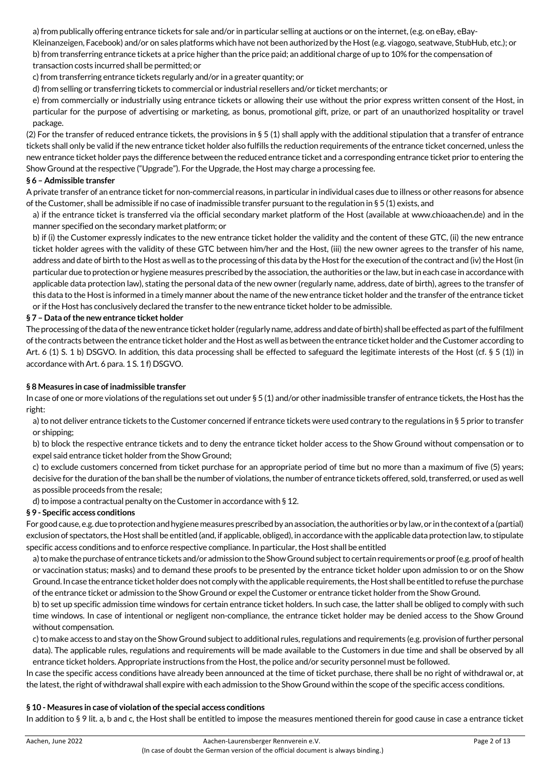a) from publically offering entrance tickets for sale and/or in particular selling at auctions or on the internet, (e.g. on eBay, eBay-Kleinanzeigen, Facebook) and/or on sales platforms which have not been authorized by the Host (e.g. viagogo, seatwave, StubHub, etc.); or b) from transferring entrance tickets at a price higher than the price paid; an additional charge of up to 10% for the compensation of transaction costs incurred shall be permitted; or

c) from transferring entrance tickets regularly and/or in a greater quantity; or

d) from selling or transferring tickets to commercial or industrial resellers and/or ticket merchants; or

e) from commercially or industrially using entrance tickets or allowing their use without the prior express written consent of the Host, in particular for the purpose of advertising or marketing, as bonus, promotional gift, prize, or part of an unauthorized hospitality or travel package.

(2) For the transfer of reduced entrance tickets, the provisions in § 5 (1) shall apply with the additional stipulation that a transfer of entrance tickets shall only be valid if the new entrance ticket holder also fulfills the reduction requirements of the entrance ticket concerned, unless the new entrance ticket holder pays the difference between the reduced entrance ticket and a corresponding entrance ticket prior to entering the Show Ground at the respective ("Upgrade"). For the Upgrade, the Host may charge a processing fee.

## **§ 6 – Admissible transfer**

A private transfer of an entrance ticket for non-commercial reasons, in particular in individual cases due to illness or other reasons for absence of the Customer, shall be admissible if no case of inadmissible transfer pursuant to the regulation in § 5 (1) exists, and

a) if the entrance ticket is transferred via the official secondary market platform of the Host (available at www.chioaachen.de) and in the manner specified on the secondary market platform; or

b) if (i) the Customer expressly indicates to the new entrance ticket holder the validity and the content of these GTC, (ii) the new entrance ticket holder agrees with the validity of these GTC between him/her and the Host, (iii) the new owner agrees to the transfer of his name, address and date of birth to the Host as well as to the processing of this data by the Host for the execution of the contract and (iv) the Host (in particular due to protection or hygiene measures prescribed by the association, the authorities or the law, but in each case in accordance with applicable data protection law), stating the personal data of the new owner (regularly name, address, date of birth), agrees to the transfer of this data to the Host is informed in a timely manner about the name of the new entrance ticket holder and the transfer of the entrance ticket or if the Host has conclusively declared the transfer to the new entrance ticket holder to be admissible.

## **§ 7 – Data of the new entrance ticket holder**

The processing of the data of the new entrance ticket holder (regularly name, address and date of birth) shall be effected as part of the fulfilment of the contracts between the entrance ticket holder and the Host as well as between the entrance ticket holder and the Customer according to Art. 6 (1) S. 1 b) DSGVO. In addition, this data processing shall be effected to safeguard the legitimate interests of the Host (cf. § 5 (1)) in accordance with Art. 6 para. 1 S. 1 f) DSGVO.

## **§ 8 Measures in case of inadmissible transfer**

In case of one or more violations of the regulations set out under § 5 (1) and/or other inadmissible transfer of entrance tickets, the Host has the right:

a) to not deliver entrance tickets to the Customer concerned if entrance tickets were used contrary to the regulations in § 5 prior to transfer or shipping;

b) to block the respective entrance tickets and to deny the entrance ticket holder access to the Show Ground without compensation or to expel said entrance ticket holder from the Show Ground;

c) to exclude customers concerned from ticket purchase for an appropriate period of time but no more than a maximum of five (5) years; decisive for the duration of the ban shall be the number of violations, the number of entrance tickets offered, sold, transferred, or used as well as possible proceeds from the resale;

d) to impose a contractual penalty on the Customer in accordance with § 12.

### **§ 9 - Specific access conditions**

For good cause, e.g. due to protection and hygiene measures prescribed by an association, the authorities or by law, or in the context of a (partial) exclusion of spectators, the Host shall be entitled (and, if applicable, obliged), in accordance with the applicable data protection law, to stipulate specific access conditions and to enforce respective compliance. In particular, the Host shall be entitled

a) to make the purchase of entrance tickets and/or admission to the Show Ground subject to certain requirements or proof (e.g. proof of health or vaccination status; masks) and to demand these proofs to be presented by the entrance ticket holder upon admission to or on the Show Ground. In case the entrance ticket holder does not comply with the applicable requirements, the Host shall be entitled to refuse the purchase of the entrance ticket or admission to the Show Ground or expel the Customer or entrance ticket holder from the Show Ground.

b) to set up specific admission time windows for certain entrance ticket holders. In such case, the latter shall be obliged to comply with such time windows. In case of intentional or negligent non-compliance, the entrance ticket holder may be denied access to the Show Ground without compensation.

c) to make access to and stay on the Show Ground subject to additional rules, regulations and requirements (e.g. provision of further personal data). The applicable rules, regulations and requirements will be made available to the Customers in due time and shall be observed by all entrance ticket holders. Appropriate instructions from the Host, the police and/or security personnel must be followed.

In case the specific access conditions have already been announced at the time of ticket purchase, there shall be no right of withdrawal or, at the latest, the right of withdrawal shall expire with each admission to the Show Ground within the scope of the specific access conditions.

### **§ 10 - Measures in case of violation of the special access conditions**

In addition to § 9 lit. a, b and c, the Host shall be entitled to impose the measures mentioned therein for good cause in case a entrance ticket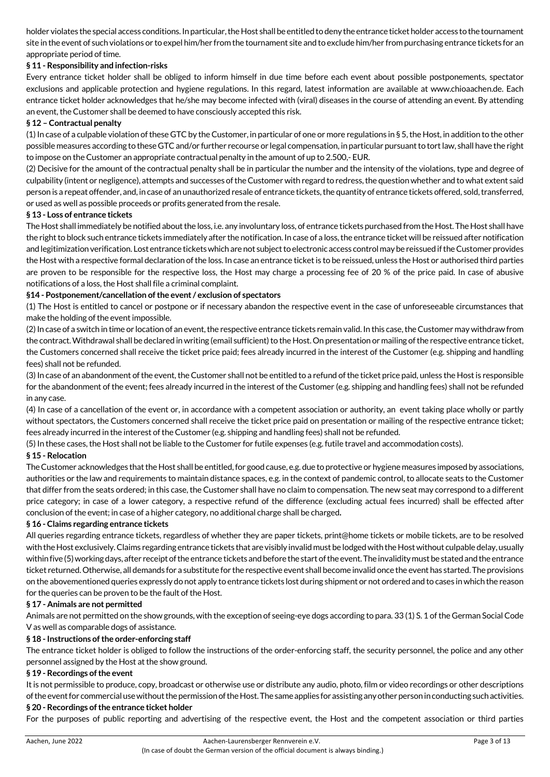holder violates the special access conditions. In particular, the Host shall be entitled to deny the entrance ticket holder access to the tournament site in the event of such violations or to expel him/her from the tournament site and to exclude him/her from purchasing entrance tickets for an appropriate period of time.

## **§ 11 - Responsibility and infection-risks**

Every entrance ticket holder shall be obliged to inform himself in due time before each event about possible postponements, spectator exclusions and applicable protection and hygiene regulations. In this regard, latest information are available at www.chioaachen.de. Each entrance ticket holder acknowledges that he/she may become infected with (viral) diseases in the course of attending an event. By attending an event, the Customer shall be deemed to have consciously accepted this risk.

## **§ 12 – Contractual penalty**

 $(1)$  In case of a culpable violation of these GTC by the Customer, in particular of one or more regulations in § 5, the Host, in addition to the other possible measures according to these GTC and/or further recourse or legal compensation, in particular pursuant to tort law, shall have the right to impose on the Customer an appropriate contractual penalty in the amount of up to 2.500,- EUR.

(2) Decisive for the amount of the contractual penalty shall be in particular the number and the intensity of the violations, type and degree of culpability (intent or negligence), attempts and successes of the Customer with regard to redress, the question whether and to what extent said person is a repeat offender, and, in case of an unauthorized resale of entrance tickets, the quantity of entrance tickets offered, sold, transferred, or used as well as possible proceeds or profits generated from the resale.

## **§ 13 - Loss of entrance tickets**

The Host shall immediately be notified about the loss, i.e. any involuntary loss, of entrance tickets purchased from the Host. The Host shall have the right to block such entrance tickets immediately after the notification. In case of a loss, the entrance ticket will be reissued after notification and legitimization verification. Lost entrance tickets which are not subject to electronic access control may be reissued if the Customer provides the Host with a respective formal declaration of the loss. In case an entrance ticket is to be reissued, unless the Host or authorised third parties are proven to be responsible for the respective loss, the Host may charge a processing fee of 20 % of the price paid. In case of abusive notifications of a loss, the Host shall file a criminal complaint.

## **§14 - Postponement/cancellation of the event / exclusion of spectators**

(1) The Host is entitled to cancel or postpone or if necessary abandon the respective event in the case of unforeseeable circumstances that make the holding of the event impossible.

(2) In case of a switch in time or location of an event, the respective entrance tickets remain valid. In this case, the Customer may withdraw from the contract. Withdrawal shall be declared in writing (email sufficient) to the Host. On presentation or mailing of the respective entrance ticket, the Customers concerned shall receive the ticket price paid; fees already incurred in the interest of the Customer (e.g. shipping and handling fees) shall not be refunded.

(3) In case of an abandonment of the event, the Customer shall not be entitled to a refund of the ticket price paid, unless the Host is responsible for the abandonment of the event; fees already incurred in the interest of the Customer (e.g. shipping and handling fees) shall not be refunded in any case.

(4) In case of a cancellation of the event or, in accordance with a competent association or authority, an event taking place wholly or partly without spectators, the Customers concerned shall receive the ticket price paid on presentation or mailing of the respective entrance ticket; fees already incurred in the interest of the Customer (e.g. shipping and handling fees) shall not be refunded.

(5) In these cases, the Host shall not be liable to the Customer for futile expenses (e.g. futile travel and accommodation costs).

## **§ 15 - Relocation**

The Customer acknowledges that the Host shall be entitled, for good cause, e.g. due to protective or hygiene measures imposed by associations, authorities or the law and requirements to maintain distance spaces, e.g. in the context of pandemic control, to allocate seats to the Customer that differ from the seats ordered; in this case, the Customer shall have no claim to compensation. The new seat may correspond to a different price category; in case of a lower category, a respective refund of the difference (excluding actual fees incurred) shall be effected after conclusion of the event; in case of a higher category, no additional charge shall be charged**.** 

## **§ 16 - Claims regarding entrance tickets**

All queries regarding entrance tickets, regardless of whether they are paper tickets, print@home tickets or mobile tickets, are to be resolved with the Host exclusively. Claims regarding entrance tickets that are visibly invalid must be lodged with the Host without culpable delay, usually within five (5) working days, after receipt of the entrance tickets and before the start of the event. The invalidity must be stated and the entrance ticket returned. Otherwise, all demands for a substitute for the respective event shall become invalid once the event has started. The provisions on the abovementioned queries expressly do not apply to entrance tickets lost during shipment or not ordered and to cases in which the reason for the queries can be proven to be the fault of the Host.

### **§ 17 - Animals are not permitted**

Animals are not permitted on the show grounds, with the exception of seeing-eye dogs according to para. 33 (1) S. 1 of the German Social Code V as well as comparable dogs of assistance.

## **§ 18 - Instructions of the order-enforcing staff**

The entrance ticket holder is obliged to follow the instructions of the order-enforcing staff, the security personnel, the police and any other personnel assigned by the Host at the show ground.

### **§ 19 - Recordings of the event**

It is not permissible to produce, copy, broadcast or otherwise use or distribute any audio, photo, film or video recordings or other descriptions of the event for commercial use without the permission of the Host. The same applies for assisting any other person in conducting such activities.

### **§ 20 - Recordings of the entrance ticket holder**

For the purposes of public reporting and advertising of the respective event, the Host and the competent association or third parties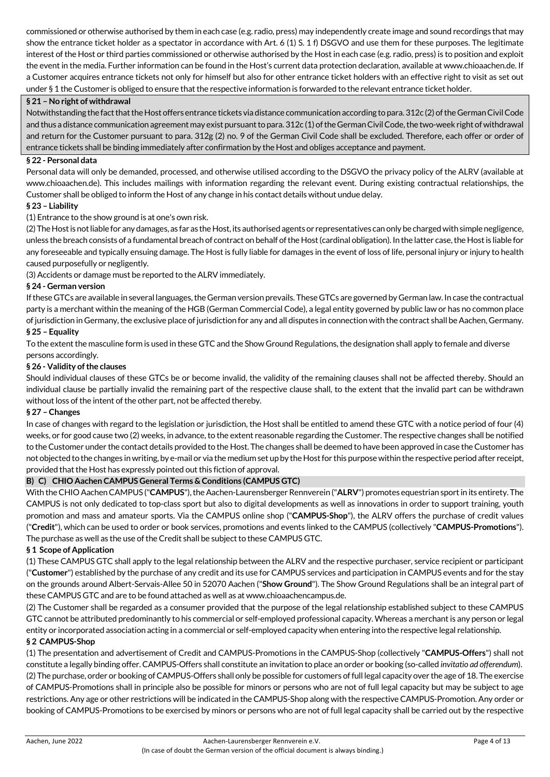commissioned or otherwise authorised by them in each case (e.g. radio, press) may independently create image and sound recordings that may show the entrance ticket holder as a spectator in accordance with Art. 6 (1) S. 1 f) DSGVO and use them for these purposes. The legitimate interest of the Host or third parties commissioned or otherwise authorised by the Host in each case (e.g. radio, press) is to position and exploit the event in the media. Further information can be found in the Host's current data protection declaration, available at www.chioaachen.de. If a Customer acquires entrance tickets not only for himself but also for other entrance ticket holders with an effective right to visit as set out under § 1 the Customer is obliged to ensure that the respective information is forwarded to the relevant entrance ticket holder.

## **§ 21 – No right of withdrawal**

Notwithstanding the fact that the Host offers entrance tickets via distance communication according to para. 312c (2) of the German Civil Code and thus a distance communication agreement may exist pursuant to para. 312c (1) of the German Civil Code, the two-week right of withdrawal and return for the Customer pursuant to para. 312g (2) no. 9 of the German Civil Code shall be excluded. Therefore, each offer or order of entrance tickets shall be binding immediately after confirmation by the Host and obliges acceptance and payment.

## **§ 22 - Personal data**

Personal data will only be demanded, processed, and otherwise utilised according to the DSGVO the privacy policy of the ALRV (available at www.chioaachen.de). This includes mailings with information regarding the relevant event. During existing contractual relationships, the Customer shall be obliged to inform the Host of any change in his contact details without undue delay.

## **§ 23 – Liability**

(1) Entrance to the show ground is at one's own risk.

(2) The Host is not liable for any damages, as far as the Host, its authorised agents or representatives can only be charged with simple negligence, unless the breach consists of a fundamental breach of contract on behalf of the Host (cardinal obligation). In the latter case, the Host is liable for any foreseeable and typically ensuing damage. The Host is fully liable for damages in the event of loss of life, personal injury or injury to health caused purposefully or negligently.

(3) Accidents or damage must be reported to the ALRV immediately.

## **§ 24 - German version**

If these GTCs are available in several languages, the German version prevails. These GTCs are governed by German law. In case the contractual party is a merchant within the meaning of the HGB (German Commercial Code), a legal entity governed by public law or has no common place of jurisdiction in Germany, the exclusive place of jurisdiction for any and all disputes in connection with the contract shall be Aachen, Germany.

## **§ 25 – Equality**

To the extent the masculine form is used in these GTC and the Show Ground Regulations, the designation shall apply to female and diverse persons accordingly.

### **§ 26 - Validity of the clauses**

Should individual clauses of these GTCs be or become invalid, the validity of the remaining clauses shall not be affected thereby. Should an individual clause be partially invalid the remaining part of the respective clause shall, to the extent that the invalid part can be withdrawn without loss of the intent of the other part, not be affected thereby.

### **§ 27 – Changes**

In case of changes with regard to the legislation or jurisdiction, the Host shall be entitled to amend these GTC with a notice period of four (4) weeks, or for good cause two (2) weeks, in advance, to the extent reasonable regarding the Customer. The respective changes shall be notified to the Customer under the contact details provided to the Host. The changes shall be deemed to have been approved in case the Customer has not objected to the changes in writing, by e-mail or via the medium set up by the Host for this purpose within the respective period after receipt, provided that the Host has expressly pointed out this fiction of approval.

## **B) C) CHIO Aachen CAMPUS General Terms & Conditions (CAMPUS GTC)**

With the CHIO Aachen CAMPUS ("**CAMPUS**"), the Aachen-Laurensberger Rennverein ("**ALRV**") promotes equestrian sport in its entirety. The CAMPUS is not only dedicated to top-class sport but also to digital developments as well as innovations in order to support training, youth promotion and mass and amateur sports. Via the CAMPUS online shop ("**CAMPUS-Shop**"), the ALRV offers the purchase of credit values ("**Credit**"), which can be used to order or book services, promotions and events linked to the CAMPUS (collectively "**CAMPUS-Promotions**"). The purchase as well as the use of the Credit shall be subject to these CAMPUS GTC.

### **§ 1 Scope of Application**

(1) These CAMPUS GTC shall apply to the legal relationship between the ALRV and the respective purchaser, service recipient or participant ("**Customer**") established by the purchase of any credit and its use for CAMPUS services and participation in CAMPUS events and for the stay on the grounds around Albert-Servais-Allee 50 in 52070 Aachen ("**Show Ground**"). The Show Ground Regulations shall be an integral part of these CAMPUS GTC and are to be found attached as well as at www.chioaachencampus.de.

(2) The Customer shall be regarded as a consumer provided that the purpose of the legal relationship established subject to these CAMPUS GTC cannot be attributed predominantly to his commercial or self-employed professional capacity. Whereas a merchant is any person or legal entity or incorporated association acting in a commercial or self-employed capacity when entering into the respective legal relationship. **§ 2 CAMPUS-Shop** 

## (1) The presentation and advertisement of Credit and CAMPUS-Promotions in the CAMPUS-Shop (collectively "**CAMPUS-Offers**") shall not constitute a legally binding offer. CAMPUS-Offers shall constitute an invitation to place an order or booking (so-called *invitatio ad offerendum*). (2) The purchase, order or booking of CAMPUS-Offers shall only be possible for customers of full legal capacity over the age of 18. The exercise of CAMPUS-Promotions shall in principle also be possible for minors or persons who are not of full legal capacity but may be subject to age restrictions. Any age or other restrictions will be indicated in the CAMPUS-Shop along with the respective CAMPUS-Promotion. Any order or booking of CAMPUS-Promotions to be exercised by minors or persons who are not of full legal capacity shall be carried out by the respective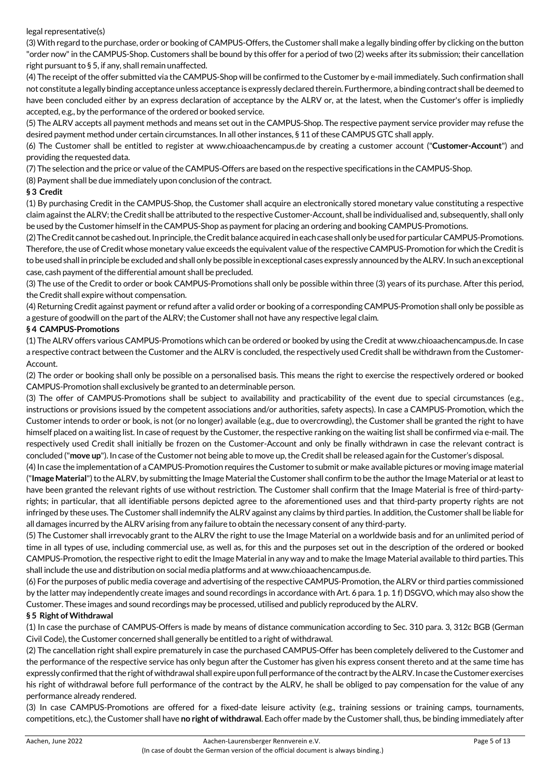### legal representative(s)

(3) With regard to the purchase, order or booking of CAMPUS-Offers, the Customer shall make a legally binding offer by clicking on the button "order now" in the CAMPUS-Shop. Customers shall be bound by this offer for a period of two (2) weeks after its submission; their cancellation right pursuant to § 5, if any, shall remain unaffected.

(4) The receipt of the offer submitted via the CAMPUS-Shop will be confirmed to the Customer by e-mail immediately. Such confirmation shall not constitute a legally binding acceptance unless acceptance is expressly declared therein. Furthermore, a binding contract shall be deemed to have been concluded either by an express declaration of acceptance by the ALRV or, at the latest, when the Customer's offer is impliedly accepted, e.g., by the performance of the ordered or booked service.

(5) The ALRV accepts all payment methods and means set out in the CAMPUS-Shop. The respective payment service provider may refuse the desired payment method under certain circumstances. In all other instances, § 11 of these CAMPUS GTC shall apply.

(6) The Customer shall be entitled to register at www.chioaachencampus.de by creating a customer account ("**Customer-Account**") and providing the requested data.

(7) The selection and the price or value of the CAMPUS-Offers are based on the respective specifications in the CAMPUS-Shop.

(8) Payment shall be due immediately upon conclusion of the contract.

## **§ 3 Credit**

(1) By purchasing Credit in the CAMPUS-Shop, the Customer shall acquire an electronically stored monetary value constituting a respective claim against the ALRV; the Credit shall be attributed to the respective Customer-Account, shall be individualised and, subsequently, shall only be used by the Customer himself in the CAMPUS-Shop as payment for placing an ordering and booking CAMPUS-Promotions.

(2) The Credit cannot be cashed out. In principle, the Credit balance acquired in each case shall only be used for particular CAMPUS-Promotions. Therefore, the use of Credit whose monetary value exceeds the equivalent value of the respective CAMPUS-Promotion for which the Credit is to be used shall in principle be excluded and shall only be possible in exceptional cases expressly announced by the ALRV. In such an exceptional case, cash payment of the differential amount shall be precluded.

(3) The use of the Credit to order or book CAMPUS-Promotions shall only be possible within three (3) years of its purchase. After this period, the Credit shall expire without compensation.

(4) Returning Credit against payment or refund after a valid order or booking of a corresponding CAMPUS-Promotion shall only be possible as a gesture of goodwill on the part of the ALRV; the Customer shall not have any respective legal claim.

## **§ 4 CAMPUS-Promotions**

(1) The ALRV offers various CAMPUS-Promotions which can be ordered or booked by using the Credit at www.chioaachencampus.de. In case a respective contract between the Customer and the ALRV is concluded, the respectively used Credit shall be withdrawn from the Customer-Account.

(2) The order or booking shall only be possible on a personalised basis. This means the right to exercise the respectively ordered or booked CAMPUS-Promotion shall exclusively be granted to an determinable person.

(3) The offer of CAMPUS-Promotions shall be subject to availability and practicability of the event due to special circumstances (e.g., instructions or provisions issued by the competent associations and/or authorities, safety aspects). In case a CAMPUS-Promotion, which the Customer intends to order or book, is not (or no longer) available (e.g., due to overcrowding), the Customer shall be granted the right to have himself placed on a waiting list. In case of request by the Customer, the respective ranking on the waiting list shall be confirmed via e-mail. The respectively used Credit shall initially be frozen on the Customer-Account and only be finally withdrawn in case the relevant contract is concluded ("**move up**"). In case of the Customer not being able to move up, the Credit shall be released again for the Customer's disposal.

(4) In case the implementation of a CAMPUS-Promotion requires the Customer to submit or make available pictures or moving image material ("**Image Material**") to the ALRV, by submitting the Image Material the Customer shall confirm to be the author the Image Material or at least to have been granted the relevant rights of use without restriction. The Customer shall confirm that the Image Material is free of third-partyrights; in particular, that all identifiable persons depicted agree to the aforementioned uses and that third-party property rights are not infringed by these uses. The Customer shall indemnify the ALRV against any claims by third parties. In addition, the Customer shall be liable for all damages incurred by the ALRV arising from any failure to obtain the necessary consent of any third-party.

(5) The Customer shall irrevocably grant to the ALRV the right to use the Image Material on a worldwide basis and for an unlimited period of time in all types of use, including commercial use, as well as, for this and the purposes set out in the description of the ordered or booked CAMPUS-Promotion, the respective right to edit the Image Material in any way and to make the Image Material available to third parties. This shall include the use and distribution on social media platforms and at www.chioaachencampus.de.

(6) For the purposes of public media coverage and advertising of the respective CAMPUS-Promotion, the ALRV or third parties commissioned by the latter may independently create images and sound recordings in accordance with Art. 6 para. 1 p. 1 f) DSGVO, which may also show the Customer. These images and sound recordings may be processed, utilised and publicly reproduced by the ALRV.

## **§ 5 Right of Withdrawal**

(1) In case the purchase of CAMPUS-Offers is made by means of distance communication according to Sec. 310 para. 3, 312c BGB (German Civil Code), the Customer concerned shall generally be entitled to a right of withdrawal.

(2) The cancellation right shall expire prematurely in case the purchased CAMPUS-Offer has been completely delivered to the Customer and the performance of the respective service has only begun after the Customer has given his express consent thereto and at the same time has expressly confirmed that the right of withdrawal shall expire upon full performance of the contract by the ALRV. In case the Customer exercises his right of withdrawal before full performance of the contract by the ALRV, he shall be obliged to pay compensation for the value of any performance already rendered.

(3) In case CAMPUS-Promotions are offered for a fixed-date leisure activity (e.g., training sessions or training camps, tournaments, competitions, etc.), the Customer shall have **no right of withdrawal**. Each offer made by the Customer shall, thus, be binding immediately after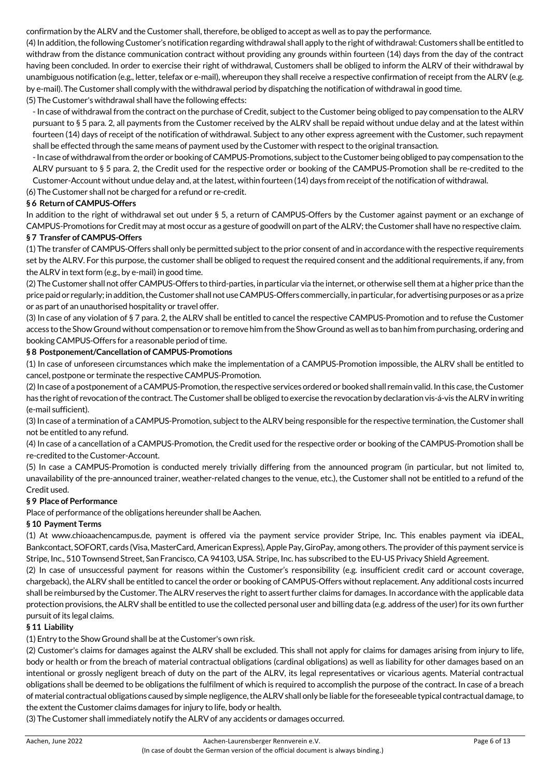confirmation by the ALRV and the Customer shall, therefore, be obliged to accept as well as to pay the performance.

(4) In addition, the following Customer's notification regarding withdrawal shall apply to the right of withdrawal: Customers shall be entitled to withdraw from the distance communication contract without providing any grounds within fourteen (14) days from the day of the contract having been concluded. In order to exercise their right of withdrawal, Customers shall be obliged to inform the ALRV of their withdrawal by unambiguous notification (e.g., letter, telefax or e-mail), whereupon they shall receive a respective confirmation of receipt from the ALRV (e.g. by e-mail). The Customer shall comply with the withdrawal period by dispatching the notification of withdrawal in good time. (5) The Customer's withdrawal shall have the following effects:

- In case of withdrawal from the contract on the purchase of Credit, subject to the Customer being obliged to pay compensation to the ALRV pursuant to § 5 para. 2, all payments from the Customer received by the ALRV shall be repaid without undue delay and at the latest within fourteen (14) days of receipt of the notification of withdrawal. Subject to any other express agreement with the Customer, such repayment shall be effected through the same means of payment used by the Customer with respect to the original transaction.

- In case of withdrawal from the order or booking of CAMPUS-Promotions, subject to the Customer being obliged to pay compensation to the ALRV pursuant to § 5 para. 2, the Credit used for the respective order or booking of the CAMPUS-Promotion shall be re-credited to the Customer-Account without undue delay and, at the latest, within fourteen (14) days from receipt of the notification of withdrawal.

(6) The Customer shall not be charged for a refund or re-credit.

## **§ 6 Return of CAMPUS-Offers**

In addition to the right of withdrawal set out under § 5, a return of CAMPUS-Offers by the Customer against payment or an exchange of CAMPUS-Promotions for Credit may at most occur as a gesture of goodwill on part of the ALRV; the Customer shall have no respective claim.

## **§ 7 Transfer of CAMPUS-Offers**

(1) The transfer of CAMPUS-Offers shall only be permitted subject to the prior consent of and in accordance with the respective requirements set by the ALRV. For this purpose, the customer shall be obliged to request the required consent and the additional requirements, if any, from the ALRV in text form (e.g., by e-mail) in good time.

(2) The Customer shall not offer CAMPUS-Offers to third-parties, in particular via the internet, or otherwise sell them at a higher price than the price paid or regularly; in addition, the Customer shall not use CAMPUS-Offers commercially, in particular, for advertising purposes or as a prize or as part of an unauthorised hospitality or travel offer.

(3) In case of any violation of § 7 para. 2, the ALRV shall be entitled to cancel the respective CAMPUS-Promotion and to refuse the Customer access to the Show Ground without compensation or to remove him from the Show Ground as well as to ban him from purchasing, ordering and booking CAMPUS-Offers for a reasonable period of time.

### **§ 8 Postponement/Cancellation of CAMPUS-Promotions**

(1) In case of unforeseen circumstances which make the implementation of a CAMPUS-Promotion impossible, the ALRV shall be entitled to cancel, postpone or terminate the respective CAMPUS-Promotion.

(2) In case of a postponement of a CAMPUS-Promotion, the respective services ordered or booked shall remain valid. In this case, the Customer has the right of revocation of the contract. The Customer shall be obliged to exercise the revocation by declaration vis-á-vis the ALRV in writing (e-mail sufficient).

(3) In case of a termination of a CAMPUS-Promotion, subject to the ALRV being responsible for the respective termination, the Customer shall not be entitled to any refund.

(4) In case of a cancellation of a CAMPUS-Promotion, the Credit used for the respective order or booking of the CAMPUS-Promotion shall be re-credited to the Customer-Account.

(5) In case a CAMPUS-Promotion is conducted merely trivially differing from the announced program (in particular, but not limited to, unavailability of the pre-announced trainer, weather-related changes to the venue, etc.), the Customer shall not be entitled to a refund of the Credit used.

### **§ 9 Place of Performance**

Place of performance of the obligations hereunder shall be Aachen.

## **§ 10 Payment Terms**

(1) At www.chioaachencampus.de, payment is offered via the payment service provider Stripe, Inc. This enables payment via iDEAL, Bankcontact, SOFORT, cards (Visa, MasterCard, American Express), Apple Pay, GiroPay, among others. The provider of this payment service is Stripe, Inc., 510 Townsend Street, San Francisco, CA 94103, USA. Stripe, Inc. has subscribed to the EU-US Privacy Shield Agreement.

(2) In case of unsuccessful payment for reasons within the Customer's responsibility (e.g. insufficient credit card or account coverage, chargeback), the ALRV shall be entitled to cancel the order or booking of CAMPUS-Offers without replacement. Any additional costs incurred shall be reimbursed by the Customer. The ALRV reserves the right to assert further claims for damages. In accordance with the applicable data protection provisions, the ALRV shall be entitled to use the collected personal user and billing data (e.g. address of the user) for its own further pursuit of its legal claims.

### **§ 11 Liability**

(1) Entry to the Show Ground shall be at the Customer's own risk.

(2) Customer's claims for damages against the ALRV shall be excluded. This shall not apply for claims for damages arising from injury to life, body or health or from the breach of material contractual obligations (cardinal obligations) as well as liability for other damages based on an intentional or grossly negligent breach of duty on the part of the ALRV, its legal representatives or vicarious agents. Material contractual obligations shall be deemed to be obligations the fulfilment of which is required to accomplish the purpose of the contract. In case of a breach of material contractual obligations caused by simple negligence, the ALRV shall only be liable for the foreseeable typical contractual damage, to the extent the Customer claims damages for injury to life, body or health.

(3) The Customer shall immediately notify the ALRV of any accidents or damages occurred.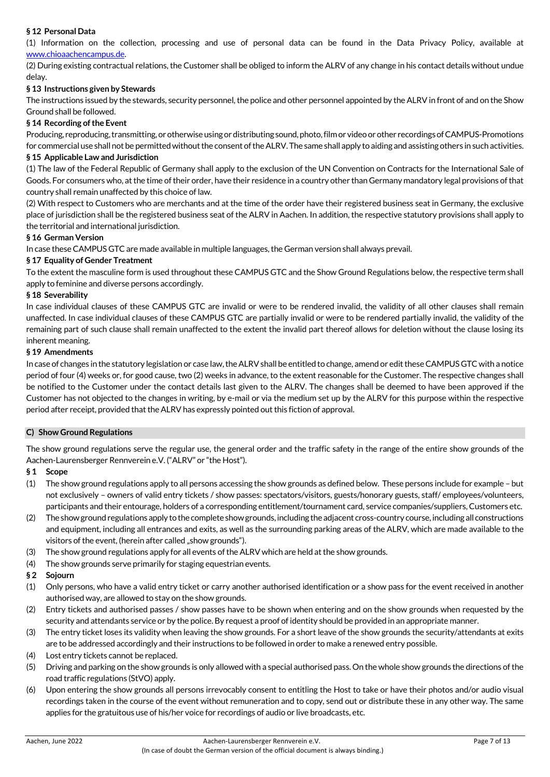# **§ 12 Personal Data**

(1) Information on the collection, processing and use of personal data can be found in the Data Privacy Policy, available at www.chioaachencampus.de.

(2) During existing contractual relations, the Customer shall be obliged to inform the ALRV of any change in his contact details without undue delay.

## **§ 13 Instructions given by Stewards**

The instructions issued by the stewards, security personnel, the police and other personnel appointed by the ALRV in front of and on the Show Ground shall be followed.

## **§ 14 Recording of the Event**

Producing, reproducing, transmitting, or otherwise using or distributing sound, photo, film or video or other recordings of CAMPUS-Promotions for commercial use shall not be permitted without the consent of the ALRV. The same shall apply to aiding and assisting others in such activities.

## **§ 15 Applicable Law and Jurisdiction**

(1) The law of the Federal Republic of Germany shall apply to the exclusion of the UN Convention on Contracts for the International Sale of Goods. For consumers who, at the time of their order, have their residence in a country other than Germany mandatory legal provisions of that country shall remain unaffected by this choice of law.

(2) With respect to Customers who are merchants and at the time of the order have their registered business seat in Germany, the exclusive place of jurisdiction shall be the registered business seat of the ALRV in Aachen. In addition, the respective statutory provisions shall apply to the territorial and international jurisdiction.

### **§ 16 German Version**

In case these CAMPUS GTC are made available in multiple languages, the German version shall always prevail.

## **§ 17 Equality of Gender Treatment**

To the extent the masculine form is used throughout these CAMPUS GTC and the Show Ground Regulations below, the respective term shall apply to feminine and diverse persons accordingly.

### **§ 18 Severability**

In case individual clauses of these CAMPUS GTC are invalid or were to be rendered invalid, the validity of all other clauses shall remain unaffected. In case individual clauses of these CAMPUS GTC are partially invalid or were to be rendered partially invalid, the validity of the remaining part of such clause shall remain unaffected to the extent the invalid part thereof allows for deletion without the clause losing its inherent meaning.

### **§ 19 Amendments**

In case of changes in the statutory legislation or case law, the ALRV shall be entitled to change, amend or edit these CAMPUS GTC with a notice period of four (4) weeks or, for good cause, two (2) weeks in advance, to the extent reasonable for the Customer. The respective changes shall be notified to the Customer under the contact details last given to the ALRV. The changes shall be deemed to have been approved if the Customer has not objected to the changes in writing, by e-mail or via the medium set up by the ALRV for this purpose within the respective period after receipt, provided that the ALRV has expressly pointed out this fiction of approval.

### **C) Show Ground Regulations**

The show ground regulations serve the regular use, the general order and the traffic safety in the range of the entire show grounds of the Aachen-Laurensberger Rennverein e.V. ("ALRV" or "the Host").

### **§ 1 Scope**

- (1) The show ground regulations apply to all persons accessing the show grounds as defined below. These persons include for example but not exclusively – owners of valid entry tickets / show passes: spectators/visitors, guests/honorary guests, staff/ employees/volunteers, participants and their entourage, holders of a corresponding entitlement/tournament card, service companies/suppliers, Customers etc.
- (2) The show ground regulations apply to the complete show grounds, including the adjacent cross-country course, including all constructions and equipment, including all entrances and exits, as well as the surrounding parking areas of the ALRV, which are made available to the visitors of the event, (herein after called "show grounds").
- (3) The show ground regulations apply for all events of the ALRV which are held at the show grounds.
- (4) The show grounds serve primarily for staging equestrian events.
- **§ 2 Sojourn**
- (1) Only persons, who have a valid entry ticket or carry another authorised identification or a show pass for the event received in another authorised way, are allowed to stay on the show grounds.
- (2) Entry tickets and authorised passes / show passes have to be shown when entering and on the show grounds when requested by the security and attendants service or by the police. By request a proof of identity should be provided in an appropriate manner.
- (3) The entry ticket loses its validity when leaving the show grounds. For a short leave of the show grounds the security/attendants at exits are to be addressed accordingly and their instructions to be followed in order to make a renewed entry possible.
- (4) Lost entry tickets cannot be replaced.
- (5) Driving and parking on the show grounds is only allowed with a special authorised pass. On the whole show grounds the directions of the road traffic regulations (StVO) apply.
- (6) Upon entering the show grounds all persons irrevocably consent to entitling the Host to take or have their photos and/or audio visual recordings taken in the course of the event without remuneration and to copy, send out or distribute these in any other way. The same applies for the gratuitous use of his/her voice for recordings of audio or live broadcasts, etc.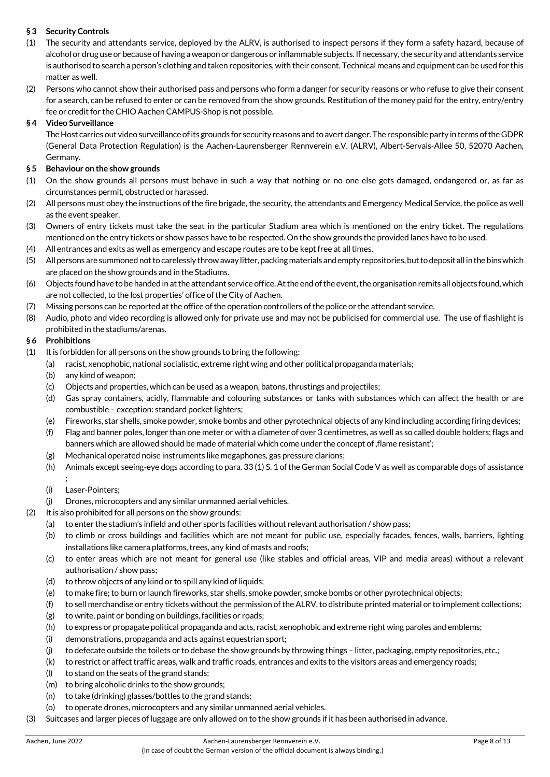# **§ 3 Security Controls**

- (1) The security and attendants service, deployed by the ALRV, is authorised to inspect persons if they form a safety hazard, because of alcohol or drug use or because of having a weapon or dangerous or inflammable subjects. If necessary, the security and attendants service is authorised to search a person's clothing and taken repositories, with their consent. Technical means and equipment can be used for this matter as well.
- (2) Persons who cannot show their authorised pass and persons who form a danger for security reasons or who refuse to give their consent for a search, can be refused to enter or can be removed from the show grounds. Restitution of the money paid for the entry, entry/entry fee or credit for the CHIO Aachen CAMPUS-Shop is not possible.

# **§ 4 Video Surveillance**

The Host carries out video surveillance of its grounds for security reasons and to avert danger. The responsible party in terms of the GDPR (General Data Protection Regulation) is the Aachen-Laurensberger Rennverein e.V. (ALRV), Albert-Servais-Allee 50, 52070 Aachen, Germany.

# **§ 5 Behaviour on the show grounds**

- (1) On the show grounds all persons must behave in such a way that nothing or no one else gets damaged, endangered or, as far as circumstances permit, obstructed or harassed.
- (2) All persons must obey the instructions of the fire brigade, the security, the attendants and Emergency Medical Service, the police as well as the event speaker.
- (3) Owners of entry tickets must take the seat in the particular Stadium area which is mentioned on the entry ticket. The regulations mentioned on the entry tickets or show passes have to be respected. On the show grounds the provided lanes have to be used.
- (4) All entrances and exits as well as emergency and escape routes are to be kept free at all times.
- (5) All persons are summoned not to carelessly throw away litter, packing materials and empty repositories, but to deposit all in the bins which are placed on the show grounds and in the Stadiums.
- (6) Objects found have to be handed in at the attendant service office. At the end of the event, the organisation remits all objects found, which are not collected, to the lost properties' office of the City of Aachen.
- (7) Missing persons can be reported at the office of the operation controllers of the police or the attendant service.
- (8) Audio, photo and video recording is allowed only for private use and may not be publicised for commercial use. The use of flashlight is prohibited in the stadiums/arenas.

# **§ 6 Prohibitions**

- (1) It is forbidden for all persons on the show grounds to bring the following:
	- (a) racist, xenophobic, national socialistic, extreme right wing and other political propaganda materials;
		- (b) any kind of weapon;
		- (c) Objects and properties, which can be used as a weapon, batons, thrustings and projectiles;
		- (d) Gas spray containers, acidly, flammable and colouring substances or tanks with substances which can affect the health or are combustible – exception: standard pocket lighters;
		- (e) Fireworks, star shells, smoke powder, smoke bombs and other pyrotechnical objects of any kind including according firing devices;
		- (f) Flag and banner poles, longer than one meter or with a diameter of over 3 centimetres, as well as so called double holders; flags and banners which are allowed should be made of material which come under the concept of flame resistant';
		- (g) Mechanical operated noise instruments like megaphones, gas pressure clarions;
		- (h) Animals except seeing-eye dogs according to para. 33 (1) S. 1 of the German Social Code V as well as comparable dogs of assistance ;
		- (i) Laser-Pointers;
	- (j) Drones, microcopters and any similar unmanned aerial vehicles.
- (2) It is also prohibited for all persons on the show grounds:
	- (a) to enter the stadium's infield and other sports facilities without relevant authorisation / show pass;
	- (b) to climb or cross buildings and facilities which are not meant for public use, especially facades, fences, walls, barriers, lighting installations like camera platforms, trees, any kind of masts and roofs;
	- (c) to enter areas which are not meant for general use (like stables and official areas, VIP and media areas) without a relevant authorisation / show pass;
	- (d) to throw objects of any kind or to spill any kind of liquids;
	- (e) to make fire; to burn or launch fireworks, star shells, smoke powder, smoke bombs or other pyrotechnical objects;
	- (f) to sell merchandise or entry tickets without the permission of the ALRV, to distribute printed material or to implement collections;
	- (g) to write, paint or bonding on buildings, facilities or roads;
	- (h) to express or propagate political propaganda and acts, racist, xenophobic and extreme right wing paroles and emblems;
	- (i) demonstrations, propaganda and acts against equestrian sport;
	- (j) to defecate outside the toilets or to debase the show grounds by throwing things litter, packaging, empty repositories, etc.;
	- (k) to restrict or affect traffic areas, walk and traffic roads, entrances and exits to the visitors areas and emergency roads;
	- (l) to stand on the seats of the grand stands;
	- (m) to bring alcoholic drinks to the show grounds;
	- (n) to take (drinking) glasses/bottles to the grand stands;
	- (o) to operate drones, microcopters and any similar unmanned aerial vehicles.
- (3) Suitcases and larger pieces of luggage are only allowed on to the show grounds if it has been authorised in advance.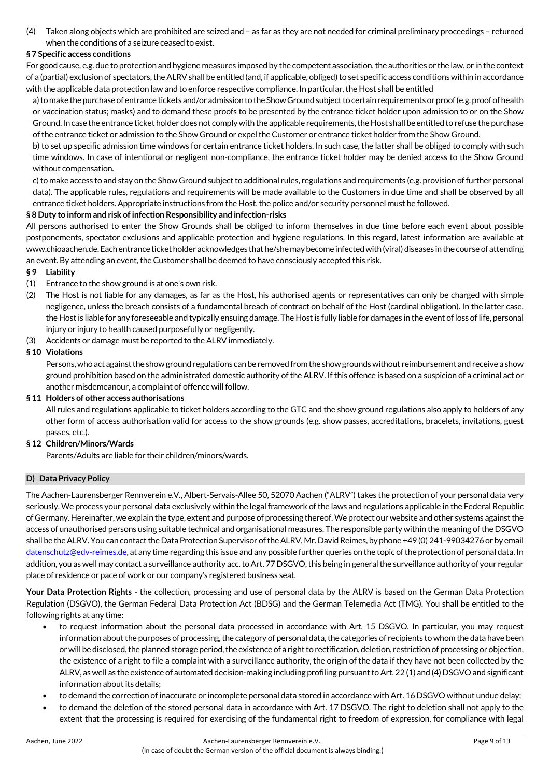(4) Taken along objects which are prohibited are seized and – as far as they are not needed for criminal preliminary proceedings – returned when the conditions of a seizure ceased to exist.

## **§ 7 Specific access conditions**

For good cause, e.g. due to protection and hygiene measures imposed by the competent association, the authorities or the law, or in the context of a (partial) exclusion of spectators, the ALRV shall be entitled (and, if applicable, obliged) to set specific access conditions within in accordance with the applicable data protection law and to enforce respective compliance. In particular, the Host shall be entitled

a) to make the purchase of entrance tickets and/or admission to the Show Ground subject to certain requirements or proof (e.g. proof of health or vaccination status; masks) and to demand these proofs to be presented by the entrance ticket holder upon admission to or on the Show Ground. In case the entrance ticket holder does not comply with the applicable requirements, the Host shall be entitled to refuse the purchase of the entrance ticket or admission to the Show Ground or expel the Customer or entrance ticket holder from the Show Ground.

b) to set up specific admission time windows for certain entrance ticket holders. In such case, the latter shall be obliged to comply with such time windows. In case of intentional or negligent non-compliance, the entrance ticket holder may be denied access to the Show Ground without compensation.

c) to make access to and stay on the Show Ground subject to additional rules, regulations and requirements (e.g. provision of further personal data). The applicable rules, regulations and requirements will be made available to the Customers in due time and shall be observed by all entrance ticket holders. Appropriate instructions from the Host, the police and/or security personnel must be followed.

## **§ 8 Duty to inform and risk of infection Responsibility and infection-risks**

All persons authorised to enter the Show Grounds shall be obliged to inform themselves in due time before each event about possible postponements, spectator exclusions and applicable protection and hygiene regulations. In this regard, latest information are available at www.chioaachen.de. Each entrance ticket holder acknowledges that he/she may become infected with (viral) diseases in the course of attending an event. By attending an event, the Customer shall be deemed to have consciously accepted this risk.

- **§ 9 Liability**
- (1) Entrance to the show ground is at one's own risk.
- (2) The Host is not liable for any damages, as far as the Host, his authorised agents or representatives can only be charged with simple negligence, unless the breach consists of a fundamental breach of contract on behalf of the Host (cardinal obligation). In the latter case, the Host is liable for any foreseeable and typically ensuing damage. The Host is fully liable for damages in the event of loss of life, personal injury or injury to health caused purposefully or negligently.
- (3) Accidents or damage must be reported to the ALRV immediately.

## **§ 10 Violations**

Persons, who act against the show ground regulations can be removed from the show grounds without reimbursement and receive a show ground prohibition based on the administrated domestic authority of the ALRV. If this offence is based on a suspicion of a criminal act or another misdemeanour, a complaint of offence will follow.

### **§ 11 Holders of other access authorisations**

All rules and regulations applicable to ticket holders according to the GTC and the show ground regulations also apply to holders of any other form of access authorisation valid for access to the show grounds (e.g. show passes, accreditations, bracelets, invitations, guest passes, etc.).

## **§ 12 Children/Minors/Wards**

Parents/Adults are liable for their children/minors/wards.

### **D) Data Privacy Policy**

The Aachen-Laurensberger Rennverein e.V., Albert-Servais-Allee 50, 52070 Aachen ("ALRV") takes the protection of your personal data very seriously. We process your personal data exclusively within the legal framework of the laws and regulations applicable in the Federal Republic of Germany. Hereinafter, we explain the type, extent and purpose of processing thereof. We protect our website and other systems against the access of unauthorised persons using suitable technical and organisational measures. The responsible party within the meaning of the DSGVO shall be the ALRV. You can contact the Data Protection Supervisor of the ALRV, Mr. David Reimes, by phone +49 (0) 241-99034276 or by email datenschutz@edv-reimes.de, at any time regarding this issue and any possible further queries on the topic of the protection of personal data. In addition, you as well may contact a surveillance authority acc. to Art. 77 DSGVO, this being in general the surveillance authority of your regular place of residence or pace of work or our company's registered business seat.

**Your Data Protection Rights** - the collection, processing and use of personal data by the ALRV is based on the German Data Protection Regulation (DSGVO), the German Federal Data Protection Act (BDSG) and the German Telemedia Act (TMG). You shall be entitled to the following rights at any time:

- to request information about the personal data processed in accordance with Art. 15 DSGVO. In particular, you may request information about the purposes of processing, the category of personal data, the categories of recipients to whom the data have been or will be disclosed, the planned storage period, the existence of a right to rectification, deletion, restriction of processing or objection, the existence of a right to file a complaint with a surveillance authority, the origin of the data if they have not been collected by the ALRV, as well as the existence of automated decision-making including profiling pursuant to Art. 22 (1) and (4) DSGVO and significant information about its details;
- to demand the correction of inaccurate or incomplete personal data stored in accordance with Art. 16 DSGVO without undue delay;
- to demand the deletion of the stored personal data in accordance with Art. 17 DSGVO. The right to deletion shall not apply to the extent that the processing is required for exercising of the fundamental right to freedom of expression, for compliance with legal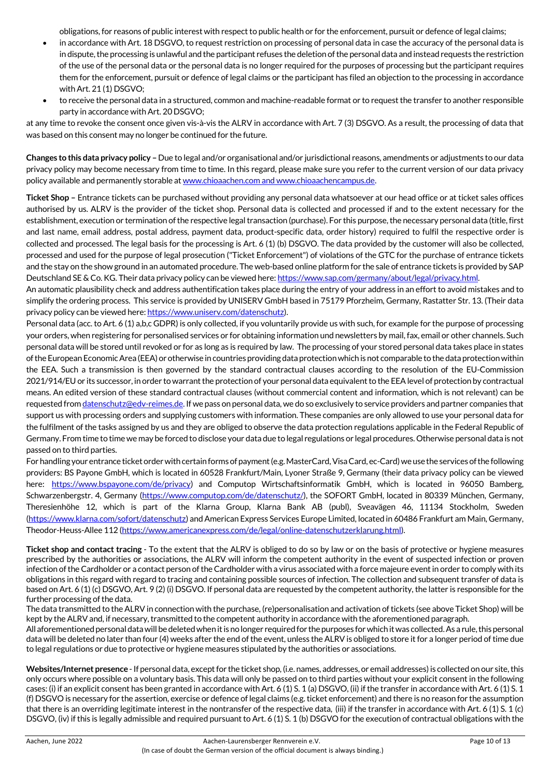obligations, for reasons of public interest with respect to public health or for the enforcement, pursuit or defence of legal claims;

- in accordance with Art. 18 DSGVO, to request restriction on processing of personal data in case the accuracy of the personal data is in dispute, the processing is unlawful and the participant refuses the deletion of the personal data and instead requests the restriction of the use of the personal data or the personal data is no longer required for the purposes of processing but the participant requires them for the enforcement, pursuit or defence of legal claims or the participant has filed an objection to the processing in accordance with Art. 21 (1) DSGVO;
- to receive the personal data in a structured, common and machine-readable format or to request the transfer to another responsible party in accordance with Art. 20 DSGVO;

at any time to revoke the consent once given vis-à-vis the ALRV in accordance with Art. 7 (3) DSGVO. As a result, the processing of data that was based on this consent may no longer be continued for the future.

**Changes to this data privacy policy –** Due to legal and/or organisational and/or jurisdictional reasons, amendments or adjustments to our data privacy policy may become necessary from time to time. In this regard, please make sure you refer to the current version of our data privacy policy available and permanently storable at www.chioaachen.com and www.chioaachencampus.de.

**Ticket Shop –** Entrance tickets can be purchased without providing any personal data whatsoever at our head office or at ticket sales offices authorised by us. ALRV is the provider of the ticket shop. Personal data is collected and processed if and to the extent necessary for the establishment, execution or termination of the respective legal transaction (purchase). For this purpose, the necessary personal data (title, first and last name, email address, postal address, payment data, product-specific data, order history) required to fulfil the respective order is collected and processed. The legal basis for the processing is Art. 6 (1) (b) DSGVO. The data provided by the customer will also be collected, processed and used for the purpose of legal prosecution ("Ticket Enforcement") of violations of the GTC for the purchase of entrance tickets and the stay on the show ground in an automated procedure. The web-based online platform for the sale of entrance tickets is provided by SAP Deutschland SE & Co. KG. Their data privacy policy can be viewed here: https://www.sap.com/germany/about/legal/privacy.html.

An automatic plausibility check and address authentification takes place during the entry of your address in an effort to avoid mistakes and to simplify the ordering process. This service is provided by UNISERV GmbH based in 75179 Pforzheim, Germany, Rastatter Str. 13. (Their data privacy policy can be viewed here: https://www.uniserv.com/datenschutz).

Personal data (acc. to Art. 6 (1) a,b,c GDPR) is only collected, if you voluntarily provide us with such, for example for the purpose of processing your orders, when registering for personalised services or for obtaining information und newsletters by mail, fax, email or other channels. Such personal data will be stored until revoked or for as long as is required by law. The processing of your stored personal data takes place in states of the European Economic Area (EEA) or otherwise in countries providing data protection which is not comparable to the data protection within the EEA. Such a transmission is then governed by the standard contractual clauses according to the resolution of the EU-Commission 2021/914/EU or its successor, in order to warrant the protection of your personal data equivalent to the EEA level of protection by contractual means. An edited version of these standard contractual clauses (without commercial content and information, which is not relevant) can be requested from datenschutz@edv-reimes.de. If we pass on personal data, we do so exclusively to service providers and partner companies that support us with processing orders and supplying customers with information. These companies are only allowed to use your personal data for the fulfilment of the tasks assigned by us and they are obliged to observe the data protection regulations applicable in the Federal Republic of Germany. From time to time we may be forced to disclose your data due to legal regulations or legal procedures. Otherwise personal data is not passed on to third parties.

For handling your entrance ticket order with certain forms of payment (e.g. MasterCard, Visa Card, ec-Card) we use the services of the following providers: BS Payone GmbH, which is located in 60528 Frankfurt/Main, Lyoner Straße 9, Germany (their data privacy policy can be viewed here: https://www.bspayone.com/de/privacy) and Computop Wirtschaftsinformatik GmbH, which is located in 96050 Bamberg, Schwarzenbergstr. 4, Germany (https://www.computop.com/de/datenschutz/), the SOFORT GmbH, located in 80339 München, Germany, Theresienhöhe 12, which is part of the Klarna Group, Klarna Bank AB (publ), Sveavägen 46, 11134 Stockholm, Sweden (https://www.klarna.com/sofort/datenschutz) and American Express Services Europe Limited, located in 60486 Frankfurt am Main, Germany, Theodor-Heuss-Allee 112 (https://www.americanexpress.com/de/legal/online-datenschutzerklarung.html).

**Ticket shop and contact tracing** - To the extent that the ALRV is obliged to do so by law or on the basis of protective or hygiene measures prescribed by the authorities or associations, the ALRV will inform the competent authority in the event of suspected infection or proven infection of the Cardholder or a contact person of the Cardholder with a virus associated with a force majeure event in order to comply with its obligations in this regard with regard to tracing and containing possible sources of infection. The collection and subsequent transfer of data is based on Art. 6 (1) (c) DSGVO, Art. 9 (2) (i) DSGVO. If personal data are requested by the competent authority, the latter is responsible for the further processing of the data.

The data transmitted to the ALRV in connection with the purchase, (re)personalisation and activation of tickets (see above Ticket Shop) will be kept by the ALRV and, if necessary, transmitted to the competent authority in accordance with the aforementioned paragraph.

All aforementioned personal data will be deleted when it is no longer required for the purposes for which it was collected. As a rule, this personal data will be deleted no later than four (4) weeks after the end of the event, unless the ALRV is obliged to store it for a longer period of time due to legal regulations or due to protective or hygiene measures stipulated by the authorities or associations.

**Websites/Internet presence** - If personal data, except for the ticket shop, (i.e. names, addresses, or email addresses) is collected on our site, this only occurs where possible on a voluntary basis. This data will only be passed on to third parties without your explicit consent in the following cases: (i) if an explicit consent has been granted in accordance with Art. 6 (1) S. 1 (a) DSGVO, (ii) if the transfer in accordance with Art. 6 (1) S. 1 (f) DSGVO is necessary for the assertion, exercise or defence of legal claims (e.g. ticket enforcement) and there is no reason for the assumption that there is an overriding legitimate interest in the nontransfer of the respective data, (iii) if the transfer in accordance with Art. 6 (1) S. 1 (c) DSGVO, (iv) if this is legally admissible and required pursuant to Art. 6 (1) S. 1 (b) DSGVO for the execution of contractual obligations with the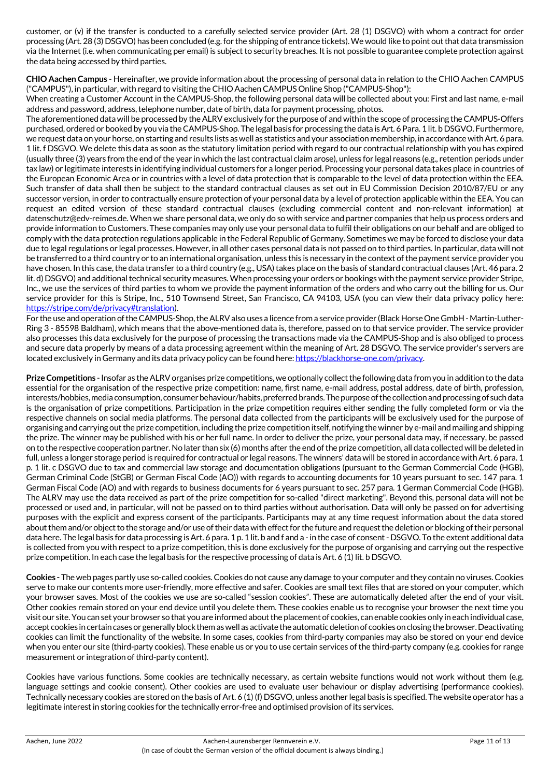customer, or (v) if the transfer is conducted to a carefully selected service provider (Art. 28 (1) DSGVO) with whom a contract for order processing (Art. 28 (3) DSGVO) has been concluded (e.g. for the shipping of entrance tickets). We would like to point out that data transmission via the Internet (i.e. when communicating per email) is subject to security breaches. It is not possible to guarantee complete protection against the data being accessed by third parties.

**CHIO Aachen Campus** - Hereinafter, we provide information about the processing of personal data in relation to the CHIO Aachen CAMPUS ("CAMPUS"), in particular, with regard to visiting the CHIO Aachen CAMPUS Online Shop ("CAMPUS-Shop"):

When creating a Customer Account in the CAMPUS-Shop, the following personal data will be collected about you: First and last name, e-mail address and password, address, telephone number, date of birth, data for payment processing, photos.

The aforementioned data will be processed by the ALRV exclusively for the purpose of and within the scope of processing the CAMPUS-Offers purchased, ordered or booked by you via the CAMPUS-Shop. The legal basis for processing the data is Art. 6 Para. 1 lit. b DSGVO. Furthermore, we request data on your horse, on starting and results lists as well as statistics and your association membership, in accordance with Art. 6 para. 1 lit. f DSGVO. We delete this data as soon as the statutory limitation period with regard to our contractual relationship with you has expired (usually three (3) years from the end of the year in which the last contractual claim arose), unless for legal reasons (e.g., retention periods under tax law) or legitimate interests in identifying individual customers for a longer period. Processing your personal data takes place in countries of the European Economic Area or in countries with a level of data protection that is comparable to the level of data protection within the EEA. Such transfer of data shall then be subject to the standard contractual clauses as set out in EU Commission Decision 2010/87/EU or any successor version, in order to contractually ensure protection of your personal data by a level of protection applicable within the EEA. You can request an edited version of these standard contractual clauses (excluding commercial content and non-relevant information) at datenschutz@edv-reimes.de. When we share personal data, we only do so with service and partner companies that help us process orders and provide information to Customers. These companies may only use your personal data to fulfil their obligations on our behalf and are obliged to comply with the data protection regulations applicable in the Federal Republic of Germany. Sometimes we may be forced to disclose your data due to legal regulations or legal processes. However, in all other cases personal data is not passed on to third parties. In particular, data will not be transferred to a third country or to an international organisation, unless this is necessary in the context of the payment service provider you have chosen. In this case, the data transfer to a third country (e.g., USA) takes place on the basis of standard contractual clauses (Art. 46 para. 2 lit. d) DSGVO) and additional technical security measures. When processing your orders or bookings with the payment service provider Stripe, Inc., we use the services of third parties to whom we provide the payment information of the orders and who carry out the billing for us. Our service provider for this is Stripe, Inc., 510 Townsend Street, San Francisco, CA 94103, USA (you can view their data privacy policy here: https://stripe.com/de/privacy#translation).

For the use and operation of the CAMPUS-Shop, the ALRV also uses a licence from a service provider (Black Horse One GmbH - Martin-Luther-Ring 3 - 85598 Baldham), which means that the above-mentioned data is, therefore, passed on to that service provider. The service provider also processes this data exclusively for the purpose of processing the transactions made via the CAMPUS-Shop and is also obliged to process and secure data properly by means of a data processing agreement within the meaning of Art. 28 DSGVO. The service provider's servers are located exclusively in Germany and its data privacy policy can be found here: https://blackhorse-one.com/privacy.

**Prize Competitions** - Insofar as the ALRV organises prize competitions, we optionally collect the following data from you in addition to the data essential for the organisation of the respective prize competition: name, first name, e-mail address, postal address, date of birth, profession, interests/hobbies, media consumption, consumer behaviour/habits, preferred brands. The purpose of the collection and processing of such data is the organisation of prize competitions. Participation in the prize competition requires either sending the fully completed form or via the respective channels on social media platforms. The personal data collected from the participants will be exclusively used for the purpose of organising and carrying out the prize competition, including the prize competition itself, notifying the winner by e-mail and mailing and shipping the prize. The winner may be published with his or her full name. In order to deliver the prize, your personal data may, if necessary, be passed on to the respective cooperation partner. No later than six (6) months after the end of the prize competition, all data collected will be deleted in full, unless a longer storage period is required for contractual or legal reasons. The winners' data will be stored in accordance with Art. 6 para. 1 p. 1 lit. c DSGVO due to tax and commercial law storage and documentation obligations (pursuant to the German Commercial Code (HGB), German Criminal Code (StGB) or German Fiscal Code (AO)) with regards to accounting documents for 10 years pursuant to sec. 147 para. 1 German Fiscal Code (AO) and with regards to business documents for 6 years pursuant to sec. 257 para. 1 German Commercial Code (HGB). The ALRV may use the data received as part of the prize competition for so-called "direct marketing". Beyond this, personal data will not be processed or used and, in particular, will not be passed on to third parties without authorisation. Data will only be passed on for advertising purposes with the explicit and express consent of the participants. Participants may at any time request information about the data stored about them and/or object to the storage and/or use of their data with effect for the future and request the deletion or blocking of their personal data here. The legal basis for data processing is Art. 6 para. 1 p. 1 lit. b and f and a - in the case of consent - DSGVO. To the extent additional data is collected from you with respect to a prize competition, this is done exclusively for the purpose of organising and carrying out the respective prize competition. In each case the legal basis for the respective processing of data is Art. 6 (1) lit. b DSGVO.

**Cookies -** The web pages partly use so-called cookies. Cookies do not cause any damage to your computer and they contain no viruses. Cookies serve to make our contents more user-friendly, more effective and safer. Cookies are small text files that are stored on your computer, which your browser saves. Most of the cookies we use are so-called "session cookies". These are automatically deleted after the end of your visit. Other cookies remain stored on your end device until you delete them. These cookies enable us to recognise your browser the next time you visit our site. You can set your browser so that you are informed about the placement of cookies, can enable cookies only in each individual case, accept cookies in certain cases or generally block them as well as activate the automatic deletion of cookies on closing the browser. Deactivating cookies can limit the functionality of the website. In some cases, cookies from third-party companies may also be stored on your end device when you enter our site (third-party cookies). These enable us or you to use certain services of the third-party company (e.g. cookies for range measurement or integration of third-party content).

Cookies have various functions. Some cookies are technically necessary, as certain website functions would not work without them (e.g. language settings and cookie consent). Other cookies are used to evaluate user behaviour or display advertising (performance cookies). Technically necessary cookies are stored on the basis of Art. 6 (1) (f) DSGVO, unless another legal basis is specified. The website operator has a legitimate interest in storing cookies for the technically error-free and optimised provision of its services.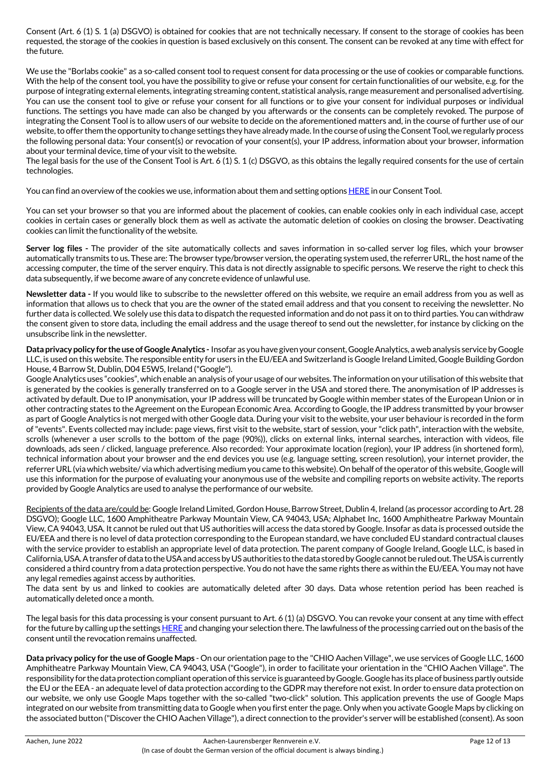Consent (Art. 6 (1) S. 1 (a) DSGVO) is obtained for cookies that are not technically necessary. If consent to the storage of cookies has been requested, the storage of the cookies in question is based exclusively on this consent. The consent can be revoked at any time with effect for the future.

We use the "Borlabs cookie" as a so-called consent tool to request consent for data processing or the use of cookies or comparable functions. With the help of the consent tool, you have the possibility to give or refuse your consent for certain functionalities of our website, e.g. for the purpose of integrating external elements, integrating streaming content, statistical analysis, range measurement and personalised advertising. You can use the consent tool to give or refuse your consent for all functions or to give your consent for individual purposes or individual functions. The settings you have made can also be changed by you afterwards or the consents can be completely revoked. The purpose of integrating the Consent Tool is to allow users of our website to decide on the aforementioned matters and, in the course of further use of our website, to offer them the opportunity to change settings they have already made. In the course of using the Consent Tool, we regularly process the following personal data: Your consent(s) or revocation of your consent(s), your IP address, information about your browser, information about your terminal device, time of your visit to the website.

The legal basis for the use of the Consent Tool is Art. 6 (1) S. 1 (c) DSGVO, as this obtains the legally required consents for the use of certain technologies.

You can find an overview of the cookies we use, information about them and setting options HERE in our Consent Tool.

You can set your browser so that you are informed about the placement of cookies, can enable cookies only in each individual case, accept cookies in certain cases or generally block them as well as activate the automatic deletion of cookies on closing the browser. Deactivating cookies can limit the functionality of the website.

**Server log files -** The provider of the site automatically collects and saves information in so-called server log files, which your browser automatically transmits to us. These are: The browser type/browser version, the operating system used, the referrer URL, the host name of the accessing computer, the time of the server enquiry. This data is not directly assignable to specific persons. We reserve the right to check this data subsequently, if we become aware of any concrete evidence of unlawful use.

**Newsletter data -** If you would like to subscribe to the newsletter offered on this website, we require an email address from you as well as information that allows us to check that you are the owner of the stated email address and that you consent to receiving the newsletter. No further data is collected. We solely use this data to dispatch the requested information and do not pass it on to third parties. You can withdraw the consent given to store data, including the email address and the usage thereof to send out the newsletter, for instance by clicking on the unsubscribe link in the newsletter.

**Data privacy policy for the use of Google Analytics -** Insofar as you have given your consent, Google Analytics, a web analysis service by Google LLC, is used on this website. The responsible entity for users in the EU/EEA and Switzerland is Google Ireland Limited, Google Building Gordon House, 4 Barrow St, Dublin, D04 E5W5, Ireland ("Google").

Google Analytics uses "cookies", which enable an analysis of your usage of our websites. The information on your utilisation of this website that is generated by the cookies is generally transferred on to a Google server in the USA and stored there. The anonymisation of IP addresses is activated by default. Due to IP anonymisation, your IP address will be truncated by Google within member states of the European Union or in other contracting states to the Agreement on the European Economic Area. According to Google, the IP address transmitted by your browser as part of Google Analytics is not merged with other Google data. During your visit to the website, your user behaviour is recorded in the form of "events". Events collected may include: page views, first visit to the website, start of session, your "click path", interaction with the website, scrolls (whenever a user scrolls to the bottom of the page (90%)), clicks on external links, internal searches, interaction with videos, file downloads, ads seen / clicked, language preference. Also recorded: Your approximate location (region), your IP address (in shortened form), technical information about your browser and the end devices you use (e.g. language setting, screen resolution), your internet provider, the referrer URL (via which website/ via which advertising medium you came to this website). On behalf of the operator of this website, Google will use this information for the purpose of evaluating your anonymous use of the website and compiling reports on website activity. The reports provided by Google Analytics are used to analyse the performance of our website.

Recipients of the data are/could be: Google Ireland Limited, Gordon House, Barrow Street, Dublin 4, Ireland (as processor according to Art. 28 DSGVO); Google LLC, 1600 Amphitheatre Parkway Mountain View, CA 94043, USA; Alphabet Inc, 1600 Amphitheatre Parkway Mountain View, CA 94043, USA. It cannot be ruled out that US authorities will access the data stored by Google. Insofar as data is processed outside the EU/EEA and there is no level of data protection corresponding to the European standard, we have concluded EU standard contractual clauses with the service provider to establish an appropriate level of data protection. The parent company of Google Ireland, Google LLC, is based in California, USA. A transfer of data to the USA and access by US authorities to the data stored by Google cannot be ruled out. The USA is currently considered a third country from a data protection perspective. You do not have the same rights there as within the EU/EEA. You may not have any legal remedies against access by authorities.

The data sent by us and linked to cookies are automatically deleted after 30 days. Data whose retention period has been reached is automatically deleted once a month.

The legal basis for this data processing is your consent pursuant to Art. 6 (1) (a) DSGVO. You can revoke your consent at any time with effect for the future by calling up the settings HERE and changing your selection there. The lawfulness of the processing carried out on the basis of the consent until the revocation remains unaffected.

**Data privacy policy for the use of Google Maps** - On our orientation page to the "CHIO Aachen Village", we use services of Google LLC, 1600 Amphitheatre Parkway Mountain View, CA 94043, USA ("Google"), in order to facilitate your orientation in the "CHIO Aachen Village". The responsibility for the data protection compliant operation of this service is guaranteed by Google. Google has its place of business partly outside the EU or the EEA - an adequate level of data protection according to the GDPR may therefore not exist. In order to ensure data protection on our website, we only use Google Maps together with the so-called "two-click" solution. This application prevents the use of Google Maps integrated on our website from transmitting data to Google when you first enter the page. Only when you activate Google Maps by clicking on the associated button ("Discover the CHIO Aachen Village"), a direct connection to the provider's server will be established (consent). As soon